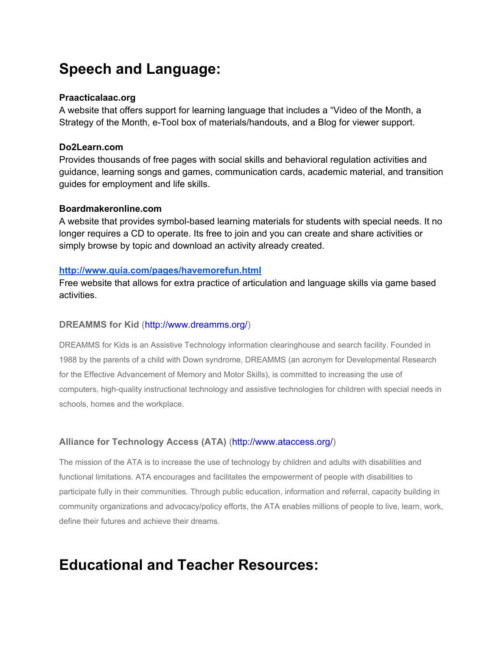# **Speech and Language:**

## **Praacticalaac.org**

A website that offers support for learning language that includes a "Video of the Month, a Strategy of the Month, e-Tool box of materials/handouts, and a Blog for viewer support.

## **Do2Learn.com**

Provides thousands of free pages with social skills and behavioral regulation activities and guidance, learning songs and games, communication cards, academic material, and transition guides for employment and life skills.

## **Boardmakeronline.com**

A website that provides symbol-based learning materials for students with special needs. It no longer requires a CD to operate. Its free to join and you can create and share activities or simply browse by topic and download an activity already created.

## **<http://www.quia.com/pages/havemorefun.html>**

Free website that allows for extra practice of articulation and language skills via game based activities.

## **DREAMMS for Kid**[\(http://www.dreamms.org/\)](http://www.dreamms.org/)

DREAMMS for Kids is an Assistive Technology information clearinghouse and search facility. Founded in 1988 by the parents of a child with Down syndrome, DREAMMS (an acronym for Developmental Research for the Effective Advancement of Memory and Motor Skills), is committed to increasing the use of computers, high-quality instructional technology and assistive technologies for children with special needs in schools, homes and the workplace.

## **Alliance for Technology Access (ATA)**[\(http://www.ataccess.org/\)](http://www.ataccess.org/)

The mission of the ATA is to increase the use of technology by children and adults with disabilities and functional limitations. ATA encourages and facilitates the empowerment of people with disabilities to participate fully in their communities. Through public education, information and referral, capacity building in community organizations and advocacy/policy efforts, the ATA enables millions of people to live, learn, work, define their futures and achieve their dreams.

# **Educational and Teacher Resources:**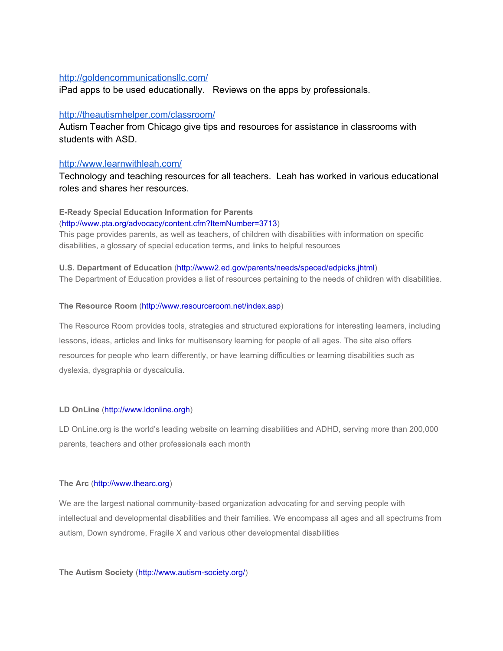## <http://goldencommunicationsllc.com/>

iPad apps to be used educationally. Reviews on the apps by professionals.

### <http://theautismhelper.com/classroom/>

Autism Teacher from Chicago give tips and resources for assistance in classrooms with students with ASD.

### <http://www.learnwithleah.com/>

Technology and teaching resources for all teachers. Leah has worked in various educational roles and shares her resources.

## **E-Ready Special Education Information for Parents**

#### [\(http://www.pta.org/advocacy/content.cfm?ItemNumber=3713\)](http://www.pta.org/advocacy/content.cfm?ItemNumber=3713)

This page provides parents, as well as teachers, of children with disabilities with information on specific disabilities, a glossary of special education terms, and links to helpful resources

#### **U.S. Department of Education**[\(http://www2.ed.gov/parents/needs/speced/edpicks.jhtml\)](http://www2.ed.gov/parents/needs/speced/edpicks.jhtml)

The Department of Education provides a list of resources pertaining to the needs of children with disabilities.

#### **The Resource Room**[\(http://www.resourceroom.net/index.asp\)](http://www.resourceroom.net/index.asp)

The Resource Room provides tools, strategies and structured explorations for interesting learners, including lessons, ideas, articles and links for multisensory learning for people of all ages. The site also offers resources for people who learn differently, or have learning difficulties or learning disabilities such as dyslexia, dysgraphia or dyscalculia.

#### **LD OnLine**[\(http://www.ldonline.orgh\)](http://www.ldonline.org/)

LD OnLine.org is the world's leading website on learning disabilities and ADHD, serving more than 200,000 parents, teachers and other professionals each month

#### **The Arc**[\(http://www.thearc.org\)](http://www.thearc.org/)

We are the largest national community-based organization advocating for and serving people with intellectual and developmental disabilities and their families. We encompass all ages and all spectrums from autism, Down syndrome, Fragile X and various other developmental disabilities

**The Autism Society (http://www.autism-society.org/)**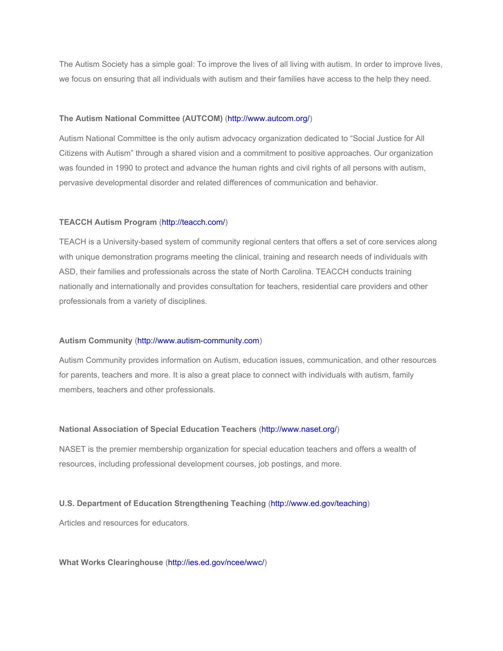The Autism Society has a simple goal: To improve the lives of all living with autism. In order to improve lives, we focus on ensuring that all individuals with autism and their families have access to the help they need.

#### **The Autism National Committee (AUTCOM)**[\(http://www.autcom.org/\)](http://www.autcom.org/)

Autism National Committee is the only autism advocacy organization dedicated to "Social Justice for All Citizens with Autism" through a shared vision and a commitment to positive approaches. Our organization was founded in 1990 to protect and advance the human rights and civil rights of all persons with autism, pervasive developmental disorder and related differences of communication and behavior.

#### **TEACCH Autism Program**[\(http://teacch.com/](http://teacch.com/))

TEACH is a University-based system of community regional centers that offers a set of core services along with unique demonstration programs meeting the clinical, training and research needs of individuals with ASD, their families and professionals across the state of North Carolina. TEACCH conducts training nationally and internationally and provides consultation for teachers, residential care providers and other professionals from a variety of disciplines.

#### Autism Community (http://www.autism-community.com)

Autism Community provides information on Autism, education issues, communication, and other resources for parents, teachers and more. It is also a great place to connect with individuals with autism, family members, teachers and other professionals.

#### **National Association of Special Education Teachers**[\(http://www.naset.org/](http://www.naset.org/))

NASET is the premier membership organization for special education teachers and offers a wealth of resources, including professional development courses, job postings, and more.

#### **U.S. Department of Education Strengthening Teaching**[\(http://www.ed.gov/teaching\)](http://www.ed.gov/teaching)

Articles and resources for educators.

#### **What Works Clearinghouse**[\(http://ies.ed.gov/ncee/wwc/\)](http://ies.ed.gov/ncee/wwc/)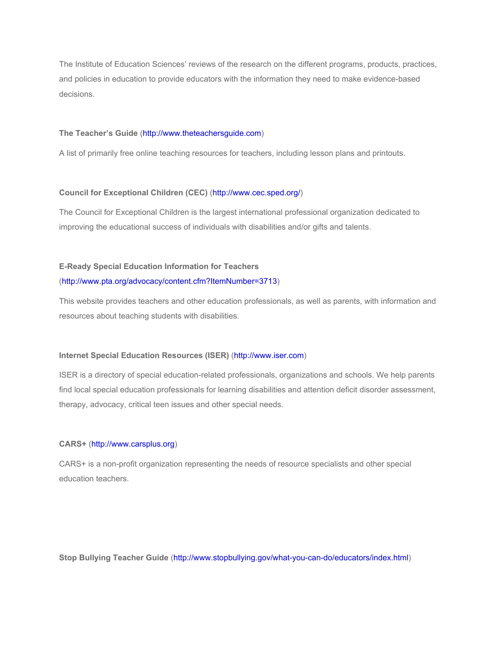The Institute of Education Sciences' reviews of the research on the different programs, products, practices, and policies in education to provide educators with the information they need to make evidence-based decisions.

#### **The Teacher's Guide**[\(http://www.theteachersguide.com\)](http://www.theteachersguide.com/)

A list of primarily free online teaching resources for teachers, including lesson plans and printouts.

#### **Council for Exceptional Children (CEC)**([http://www.cec.sped.org/\)](http://www.cec.sped.org/)

The Council for Exceptional Children is the largest international professional organization dedicated to improving the educational success of individuals with disabilities and/or gifts and talents.

## **E-Ready Special Education Information for Teachers**

#### [\(http://www.pta.org/advocacy/content.cfm?ItemNumber=3713\)](http://www.pta.org/advocacy/content.cfm?ItemNumber=3713)

This website provides teachers and other education professionals, as well as parents, with information and resources about teaching students with disabilities.

#### **Internet Special Education Resources (ISER)**[\(http://www.iser.com\)](http://www.iser.com/)

ISER is a directory of special education-related professionals, organizations and schools. We help parents find local special education professionals for learning disabilities and attention deficit disorder assessment, therapy, advocacy, critical teen issues and other special needs.

#### **CARS+**[\(http://www.carsplus.org\)](http://www.carsplus.org/)

CARS+ is a non-profit organization representing the needs of resource specialists and other special education teachers.

**Stop Bullying Teacher Guide (http://www.stopbullying.gov/what-you-can-do/educators/index.html)**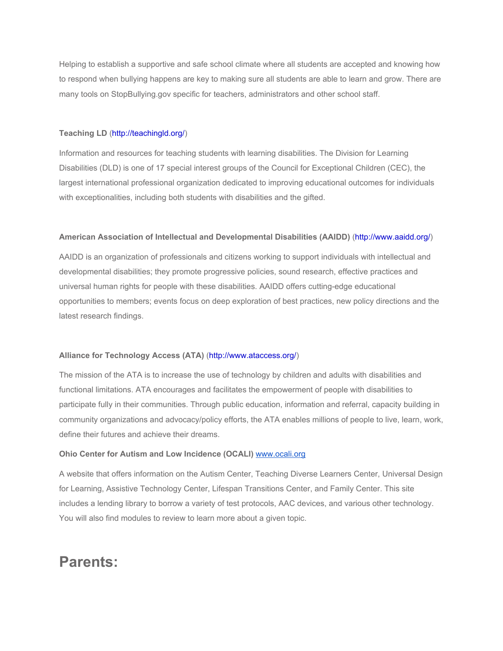Helping to establish a supportive and safe school climate where all students are accepted and knowing how to respond when bullying happens are key to making sure all students are able to learn and grow. There are many tools on StopBullying.gov specific for teachers, administrators and other school staff.

#### **Teaching LD**[\(http://teachingld.org/\)](http://teachingld.org/)

Information and resources for teaching students with learning disabilities. The Division for Learning Disabilities (DLD) is one of 17 special interest groups of the Council for Exceptional Children (CEC), the largest international professional organization dedicated to improving educational outcomes for individuals with exceptionalities, including both students with disabilities and the gifted.

#### **American Association of Intellectual and Developmental Disabilities (AAIDD)**[\(http://www.aaidd.org/\)](http://www.aaidd.org/)

AAIDD is an organization of professionals and citizens working to support individuals with intellectual and developmental disabilities; they promote progressive policies, sound research, effective practices and universal human rights for people with these disabilities. AAIDD offers cutting-edge educational opportunities to members; events focus on deep exploration of best practices, new policy directions and the latest research findings.

#### **Alliance for Technology Access (ATA)**[\(http://www.ataccess.org/\)](http://www.ataccess.org/)

The mission of the ATA is to increase the use of technology by children and adults with disabilities and functional limitations. ATA encourages and facilitates the empowerment of people with disabilities to participate fully in their communities. Through public education, information and referral, capacity building in community organizations and advocacy/policy efforts, the ATA enables millions of people to live, learn, work, define their futures and achieve their dreams.

#### **Ohio Center for Autism and Low Incidence (OCALI)**[www.ocali.org](http://www.ocali.org/)

A website that offers information on the Autism Center, Teaching Diverse Learners Center, Universal Design for Learning, Assistive Technology Center, Lifespan Transitions Center, and Family Center. This site includes a lending library to borrow a variety of test protocols, AAC devices, and various other technology. You will also find modules to review to learn more about a given topic.

## **Parents:**